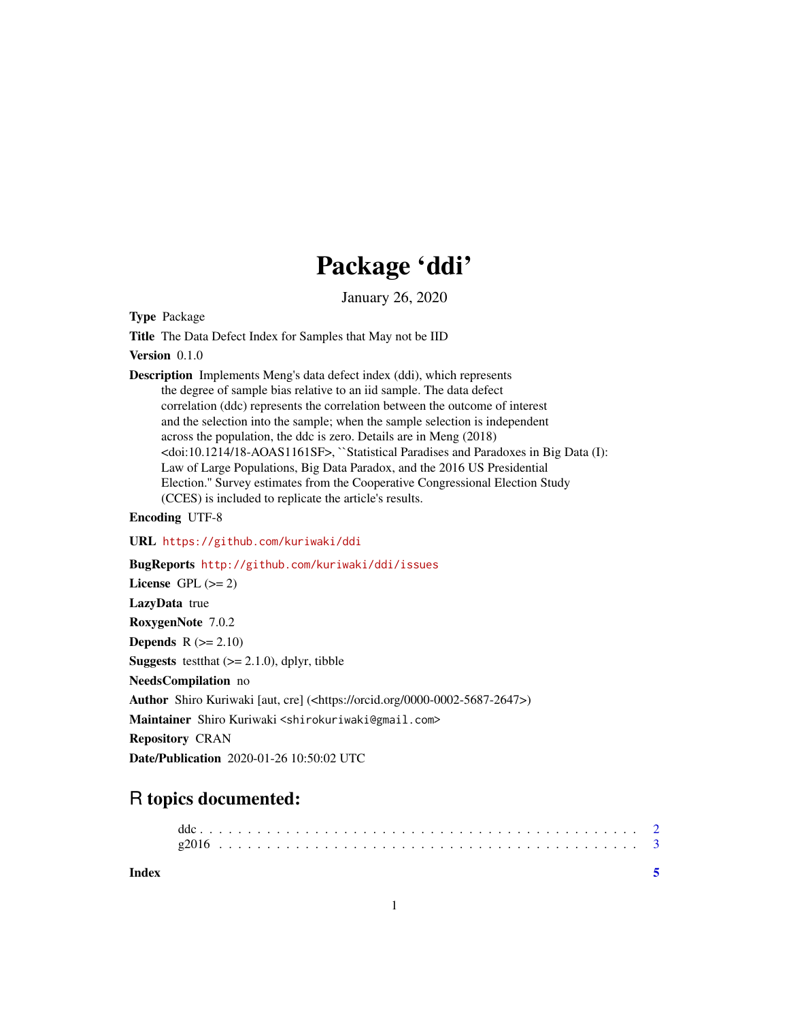## Package 'ddi'

January 26, 2020

Type Package

Title The Data Defect Index for Samples that May not be IID

Version 0.1.0

Description Implements Meng's data defect index (ddi), which represents the degree of sample bias relative to an iid sample. The data defect correlation (ddc) represents the correlation between the outcome of interest and the selection into the sample; when the sample selection is independent across the population, the ddc is zero. Details are in Meng (2018) <doi:10.1214/18-AOAS1161SF>, ``Statistical Paradises and Paradoxes in Big Data (I): Law of Large Populations, Big Data Paradox, and the 2016 US Presidential Election.'' Survey estimates from the Cooperative Congressional Election Study (CCES) is included to replicate the article's results.

Encoding UTF-8

URL <https://github.com/kuriwaki/ddi>

BugReports <http://github.com/kuriwaki/ddi/issues>

License GPL  $(>= 2)$ LazyData true RoxygenNote 7.0.2 Depends  $R$  ( $>= 2.10$ ) **Suggests** test that  $(>= 2.1.0)$ , dplyr, tibble NeedsCompilation no Author Shiro Kuriwaki [aut, cre] (<https://orcid.org/0000-0002-5687-2647>) Maintainer Shiro Kuriwaki <shirokuriwaki@gmail.com> Repository CRAN Date/Publication 2020-01-26 10:50:02 UTC

### R topics documented:

**Index** [5](#page-4-0). The second state of the second state of the second state of the second state of the second state of the second state of the second state of the second state of the second state of the second state of the second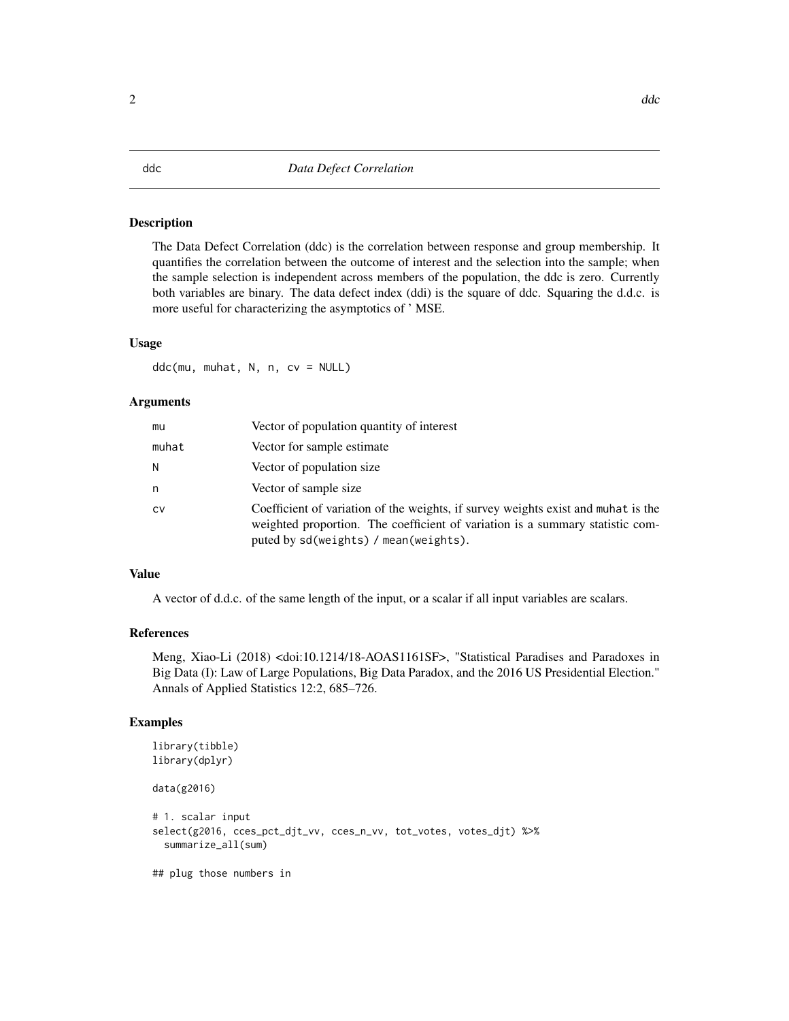### <span id="page-1-0"></span>Description

The Data Defect Correlation (ddc) is the correlation between response and group membership. It quantifies the correlation between the outcome of interest and the selection into the sample; when the sample selection is independent across members of the population, the ddc is zero. Currently both variables are binary. The data defect index (ddi) is the square of ddc. Squaring the d.d.c. is more useful for characterizing the asymptotics of ' MSE.

### Usage

ddc(mu, muhat, N, n, cv = NULL)

### Arguments

| mu    | Vector of population quantity of interest                                                                                                                                                                   |
|-------|-------------------------------------------------------------------------------------------------------------------------------------------------------------------------------------------------------------|
| muhat | Vector for sample estimate                                                                                                                                                                                  |
| Ν     | Vector of population size.                                                                                                                                                                                  |
| n     | Vector of sample size.                                                                                                                                                                                      |
| CV    | Coefficient of variation of the weights, if survey weights exist and muhat is the<br>weighted proportion. The coefficient of variation is a summary statistic com-<br>puted by sd(weights) / mean(weights). |

### Value

A vector of d.d.c. of the same length of the input, or a scalar if all input variables are scalars.

### References

Meng, Xiao-Li (2018) <doi:10.1214/18-AOAS1161SF>, "Statistical Paradises and Paradoxes in Big Data (I): Law of Large Populations, Big Data Paradox, and the 2016 US Presidential Election." Annals of Applied Statistics 12:2, 685–726.

### Examples

```
library(tibble)
library(dplyr)
data(g2016)
# 1. scalar input
select(g2016, cces_pct_djt_vv, cces_n_vv, tot_votes, votes_djt) %>%
 summarize_all(sum)
## plug those numbers in
```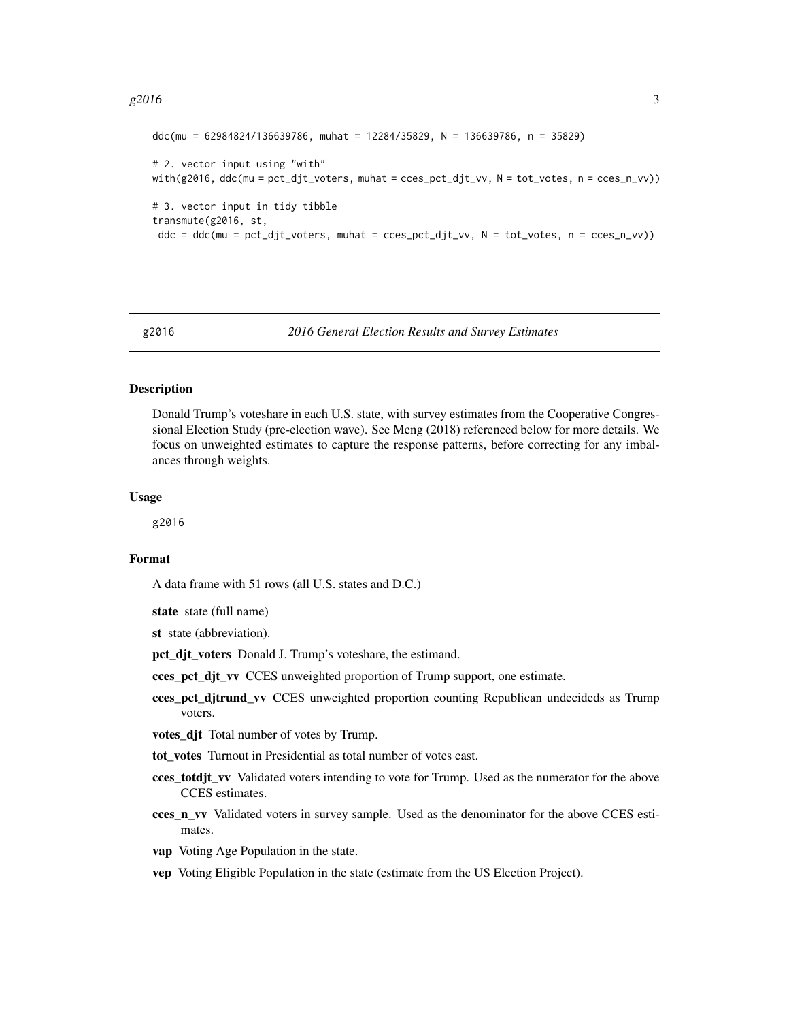### <span id="page-2-0"></span> $g2016$  3

```
ddc(mu = 62984824/136639786, muhat = 12284/35829, N = 136639786, n = 35829)
# 2. vector input using "with"
with(g2016, ddc(mu = pct_djt_voters, muhat = cces_pct_djt_vv, N = tot_votes, n = cces_n_vvy))
# 3. vector input in tidy tibble
transmute(g2016, st,
ddc = ddc(mu = pct_djt_voters, muhat = cces_pct_djt_vv, N = tot_votes, n = cces_n_vv))
```
g2016 *2016 General Election Results and Survey Estimates*

### **Description**

Donald Trump's voteshare in each U.S. state, with survey estimates from the Cooperative Congressional Election Study (pre-election wave). See Meng (2018) referenced below for more details. We focus on unweighted estimates to capture the response patterns, before correcting for any imbalances through weights.

### Usage

g2016

### Format

A data frame with 51 rows (all U.S. states and D.C.)

state state (full name)

st state (abbreviation).

pct\_djt\_voters Donald J. Trump's voteshare, the estimand.

- cces\_pct\_djt\_vv CCES unweighted proportion of Trump support, one estimate.
- cces pct ditrund vv CCES unweighted proportion counting Republican undecideds as Trump voters.
- votes\_djt Total number of votes by Trump.
- tot\_votes Turnout in Presidential as total number of votes cast.
- cces\_totdjt\_vv Validated voters intending to vote for Trump. Used as the numerator for the above CCES estimates.
- cces\_n\_vv Validated voters in survey sample. Used as the denominator for the above CCES estimates.
- vap Voting Age Population in the state.
- vep Voting Eligible Population in the state (estimate from the US Election Project).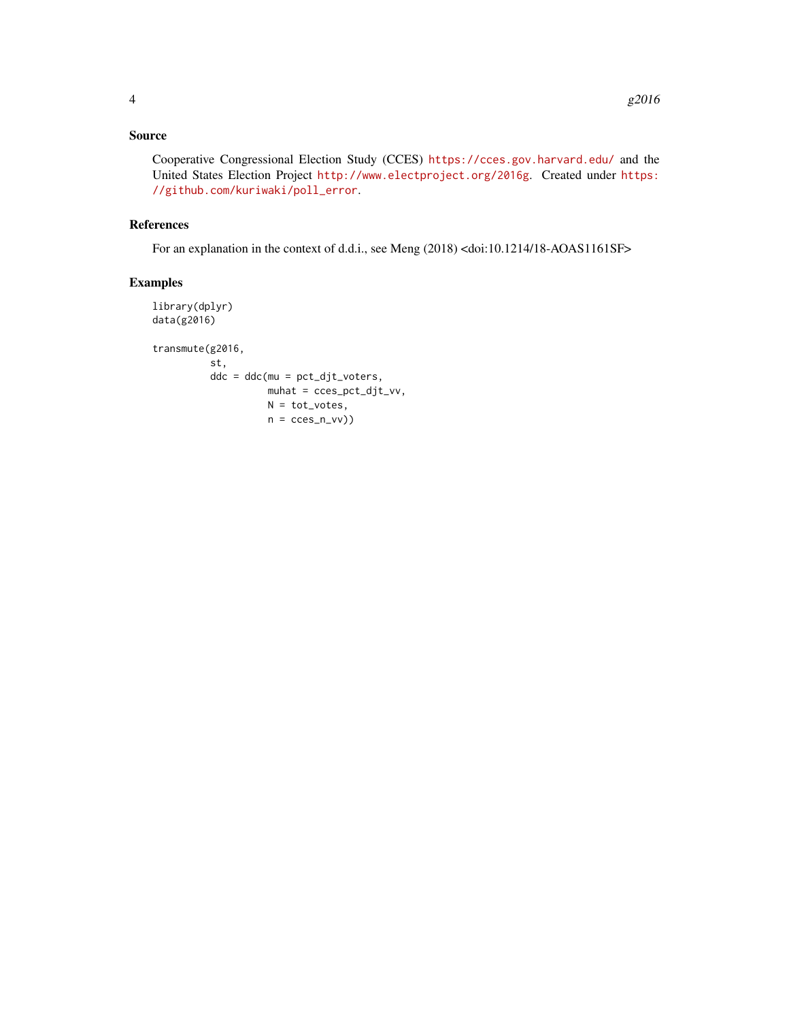Cooperative Congressional Election Study (CCES) <https://cces.gov.harvard.edu/> and the United States Election Project <http://www.electproject.org/2016g>. Created under [https:](https://github.com/kuriwaki/poll_error) [//github.com/kuriwaki/poll\\_error](https://github.com/kuriwaki/poll_error).

### References

For an explanation in the context of d.d.i., see Meng (2018) <doi:10.1214/18-AOAS1161SF>

### Examples

```
library(dplyr)
data(g2016)
transmute(g2016,
         st,
         ddc = ddc(mu = pct_djt_voters,
                   muhat = cces_pct_djt_vv,
                   N = tot_votes,n = cces_n_v(v)
```